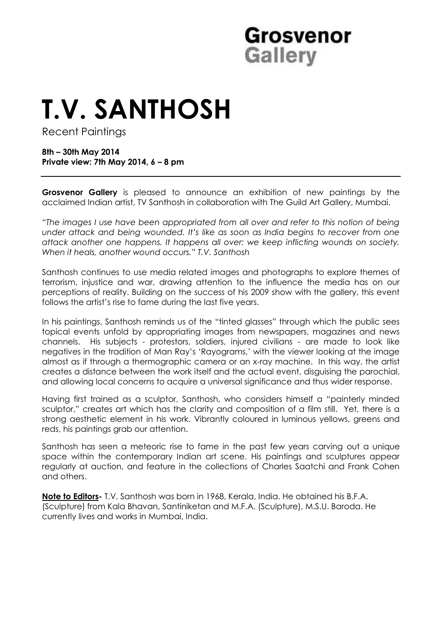# **Grosvenor Gallery**

# **T.V. SANTHOSH**

Recent Paintings

**8th – 30th May 2014 Private view: 7th May 2014, 6 – 8 pm** 

**Grosvenor Gallery** is pleased to announce an exhibition of new paintings by the acclaimed Indian artist, TV Santhosh in collaboration with The Guild Art Gallery, Mumbai.

*"The images I use have been appropriated from all over and refer to this notion of being under attack and being wounded. It's like as soon as India begins to recover from one attack another one happens. It happens all over: we keep inflicting wounds on society. When it heals, another wound occurs." T.V. Santhosh*

Santhosh continues to use media related images and photographs to explore themes of terrorism, injustice and war, drawing attention to the influence the media has on our perceptions of reality. Building on the success of his 2009 show with the gallery, this event follows the artist's rise to fame during the last five years.

In his paintings, Santhosh reminds us of the "tinted glasses" through which the public sees topical events unfold by appropriating images from newspapers, magazines and news channels. His subjects - protestors, soldiers, injured civilians - are made to look like negatives in the tradition of Man Ray's 'Rayograms,' with the viewer looking at the image almost as if through a thermographic camera or an x-ray machine. In this way, the artist creates a distance between the work itself and the actual event, disguising the parochial, and allowing local concerns to acquire a universal significance and thus wider response.

Having first trained as a sculptor, Santhosh, who considers himself a "painterly minded sculptor," creates art which has the clarity and composition of a film still. Yet, there is a strong aesthetic element in his work. Vibrantly coloured in luminous yellows, greens and reds, his paintings grab our attention.

Santhosh has seen a meteoric rise to fame in the past few years carving out a unique space within the contemporary Indian art scene. His paintings and sculptures appear regularly at auction, and feature in the collections of Charles Saatchi and Frank Cohen and others.

**Note to Editors-** T.V. Santhosh was born in 1968, Kerala, India. He obtained his B.F.A. (Sculpture) from Kala Bhavan, Santiniketan and M.F.A. (Sculpture), M.S.U. Baroda. He currently lives and works in Mumbai, India.